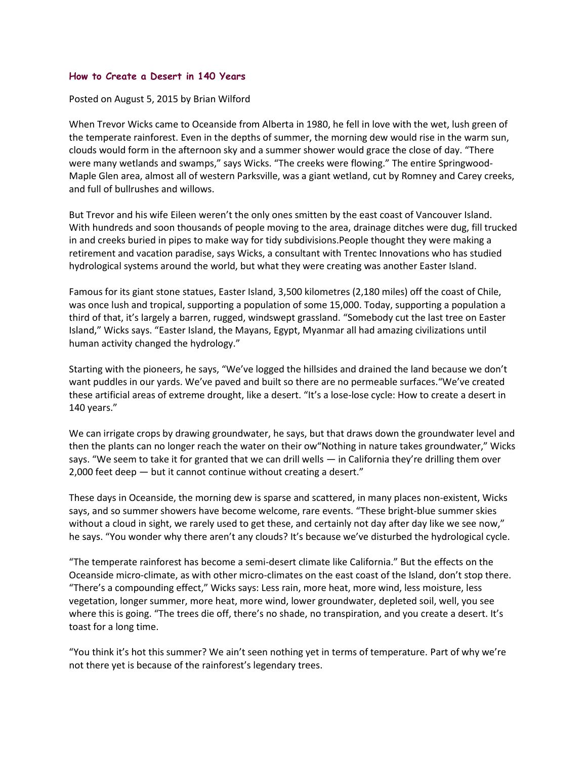## **How to Create a Desert in 140 Years**

## Posted on August 5, 2015 by Brian Wilford

When Trevor Wicks came to Oceanside from Alberta in 1980, he fell in love with the wet, lush green of the temperate rainforest. Even in the depths of summer, the morning dew would rise in the warm sun, clouds would form in the afternoon sky and a summer shower would grace the close of day. "There were many wetlands and swamps," says Wicks. "The creeks were flowing." The entire Springwood-Maple Glen area, almost all of western Parksville, was a giant wetland, cut by Romney and Carey creeks, and full of bullrushes and willows.

But Trevor and his wife Eileen weren't the only ones smitten by the east coast of Vancouver Island. With hundreds and soon thousands of people moving to the area, drainage ditches were dug, fill trucked in and creeks buried in pipes to make way for tidy subdivisions.People thought they were making a retirement and vacation paradise, says Wicks, a consultant with Trentec Innovations who has studied hydrological systems around the world, but what they were creating was another Easter Island.

Famous for its giant stone statues, Easter Island, 3,500 kilometres (2,180 miles) off the coast of Chile, was once lush and tropical, supporting a population of some 15,000. Today, supporting a population a third of that, it's largely a barren, rugged, windswept grassland. "Somebody cut the last tree on Easter Island," Wicks says. "Easter Island, the Mayans, Egypt, Myanmar all had amazing civilizations until human activity changed the hydrology."

Starting with the pioneers, he says, "We've logged the hillsides and drained the land because we don't want puddles in our yards. We've paved and built so there are no permeable surfaces."We've created these artificial areas of extreme drought, like a desert. "It's a lose-lose cycle: How to create a desert in 140 years."

We can irrigate crops by drawing groundwater, he says, but that draws down the groundwater level and then the plants can no longer reach the water on their ow"Nothing in nature takes groundwater," Wicks says. "We seem to take it for granted that we can drill wells — in California they're drilling them over 2,000 feet deep — but it cannot continue without creating a desert."

These days in Oceanside, the morning dew is sparse and scattered, in many places non-existent, Wicks says, and so summer showers have become welcome, rare events. "These bright-blue summer skies without a cloud in sight, we rarely used to get these, and certainly not day after day like we see now," he says. "You wonder why there aren't any clouds? It's because we've disturbed the hydrological cycle.

"The temperate rainforest has become a semi-desert climate like California." But the effects on the Oceanside micro-climate, as with other micro-climates on the east coast of the Island, don't stop there. "There's a compounding effect," Wicks says: Less rain, more heat, more wind, less moisture, less vegetation, longer summer, more heat, more wind, lower groundwater, depleted soil, well, you see where this is going. "The trees die off, there's no shade, no transpiration, and you create a desert. It's toast for a long time.

"You think it's hot this summer? We ain't seen nothing yet in terms of temperature. Part of why we're not there yet is because of the rainforest's legendary trees.